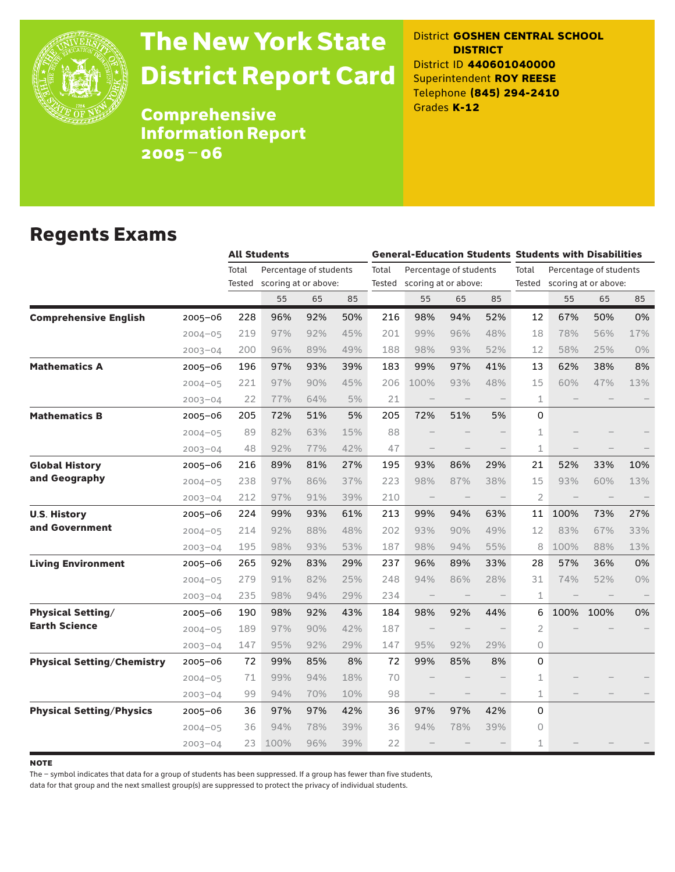

# The New York State District Report Card

District **GOSHEN CENTRAL SCHOOL DISTRICT** District ID **440601040000** Superintendent **ROY REESE** Telephone **(845) 294-2410** Grades **K-12**

**Comprehensive** Information Report 2005–06

### Regents Exams

|                                   |             |                 | <b>All Students</b>                            |          |     |       | <b>General-Education Students Students with Disabilities</b> |                          |     |                |      |                                                       |     |  |
|-----------------------------------|-------------|-----------------|------------------------------------------------|----------|-----|-------|--------------------------------------------------------------|--------------------------|-----|----------------|------|-------------------------------------------------------|-----|--|
|                                   |             | Total<br>Tested | Percentage of students<br>scoring at or above: |          |     | Total | Percentage of students<br>Tested scoring at or above:        |                          |     | Total          |      | Percentage of students<br>Tested scoring at or above: |     |  |
|                                   |             |                 | 55                                             | 85<br>65 |     |       | 55<br>65<br>85                                               |                          |     | 55             | 65   | 85                                                    |     |  |
| <b>Comprehensive English</b>      | $2005 - 06$ | 228             | 96%                                            | 92%      | 50% | 216   | 98%                                                          | 94%                      | 52% | 12             | 67%  | 50%                                                   | 0%  |  |
|                                   | $2004 - 05$ | 219             | 97%                                            | 92%      | 45% | 201   | 99%                                                          | 96%                      | 48% | 18             | 78%  | 56%                                                   | 17% |  |
|                                   | $2003 - 04$ | 200             | 96%                                            | 89%      | 49% | 188   | 98%                                                          | 93%                      | 52% | 12             | 58%  | 25%                                                   | 0%  |  |
| <b>Mathematics A</b>              | $2005 - 06$ | 196             | 97%                                            | 93%      | 39% | 183   | 99%                                                          | 97%                      | 41% | 13             | 62%  | 38%                                                   | 8%  |  |
|                                   | $2004 - 05$ | 221             | 97%                                            | 90%      | 45% | 206   | 100%                                                         | 93%                      | 48% | 15             | 60%  | 47%                                                   | 13% |  |
|                                   | $2003 - 04$ | 22              | 77%                                            | 64%      | 5%  | 21    | $\qquad \qquad -$                                            |                          |     | $\mathbf 1$    |      |                                                       |     |  |
| <b>Mathematics B</b>              | 2005-06     | 205             | 72%                                            | 51%      | 5%  | 205   | 72%                                                          | 51%                      | 5%  | 0              |      |                                                       |     |  |
|                                   | $2004 - 05$ | 89              | 82%                                            | 63%      | 15% | 88    |                                                              |                          |     | 1              |      |                                                       |     |  |
|                                   | $2003 - 04$ | 48              | 92%                                            | 77%      | 42% | 47    |                                                              |                          |     | $\mathbf 1$    |      |                                                       |     |  |
| <b>Global History</b>             | $2005 - 06$ | 216             | 89%                                            | 81%      | 27% | 195   | 93%                                                          | 86%                      | 29% | 21             | 52%  | 33%                                                   | 10% |  |
| and Geography                     | $2004 - 05$ | 238             | 97%                                            | 86%      | 37% | 223   | 98%                                                          | 87%                      | 38% | 15             | 93%  | 60%                                                   | 13% |  |
|                                   | $2003 - 04$ | 212             | 97%                                            | 91%      | 39% | 210   |                                                              |                          |     | $\overline{2}$ |      |                                                       |     |  |
| <b>U.S. History</b>               | $2005 - 06$ | 224             | 99%                                            | 93%      | 61% | 213   | 99%                                                          | 94%                      | 63% | 11             | 100% | 73%                                                   | 27% |  |
| and Government                    | $2004 - 05$ | 214             | 92%                                            | 88%      | 48% | 202   | 93%                                                          | 90%                      | 49% | 12             | 83%  | 67%                                                   | 33% |  |
|                                   | $2003 - 04$ | 195             | 98%                                            | 93%      | 53% | 187   | 98%                                                          | 94%                      | 55% | 8              | 100% | 88%                                                   | 13% |  |
| <b>Living Environment</b>         | $2005 - 06$ | 265             | 92%                                            | 83%      | 29% | 237   | 96%                                                          | 89%                      | 33% | 28             | 57%  | 36%                                                   | 0%  |  |
|                                   | $2004 - 05$ | 279             | 91%                                            | 82%      | 25% | 248   | 94%                                                          | 86%                      | 28% | 31             | 74%  | 52%                                                   | 0%  |  |
|                                   | $2003 - 04$ | 235             | 98%                                            | 94%      | 29% | 234   | $\qquad \qquad -$                                            |                          |     | $\mathbf 1$    |      |                                                       |     |  |
| <b>Physical Setting/</b>          | 2005-06     | 190             | 98%                                            | 92%      | 43% | 184   | 98%                                                          | 92%                      | 44% | 6              | 100% | 100%                                                  | 0%  |  |
| <b>Earth Science</b>              | $2004 - 05$ | 189             | 97%                                            | 90%      | 42% | 187   |                                                              |                          |     | 2              |      |                                                       |     |  |
|                                   | $2003 - 04$ | 147             | 95%                                            | 92%      | 29% | 147   | 95%                                                          | 92%                      | 29% | 0              |      |                                                       |     |  |
| <b>Physical Setting/Chemistry</b> | $2005 - 06$ | 72              | 99%                                            | 85%      | 8%  | 72    | 99%                                                          | 85%                      | 8%  | 0              |      |                                                       |     |  |
|                                   | $2004 - 05$ | 71              | 99%                                            | 94%      | 18% | 70    |                                                              |                          |     | 1              |      |                                                       |     |  |
|                                   | $2003 - 04$ | 99              | 94%                                            | 70%      | 10% | 98    | $\qquad \qquad -$                                            | $\overline{\phantom{0}}$ |     | $\mathbf 1$    |      |                                                       |     |  |
| <b>Physical Setting/Physics</b>   | $2005 - 06$ | 36              | 97%                                            | 97%      | 42% | 36    | 97%                                                          | 97%                      | 42% | 0              |      |                                                       |     |  |
|                                   | $2004 - 05$ | 36              | 94%                                            | 78%      | 39% | 36    | 94%                                                          | 78%                      | 39% | 0              |      |                                                       |     |  |
|                                   | $2003 - 04$ | 23              | 100%                                           | 96%      | 39% | 22    |                                                              |                          |     | 1              |      |                                                       |     |  |

**NOTE** 

The – symbol indicates that data for a group of students has been suppressed. If a group has fewer than five students,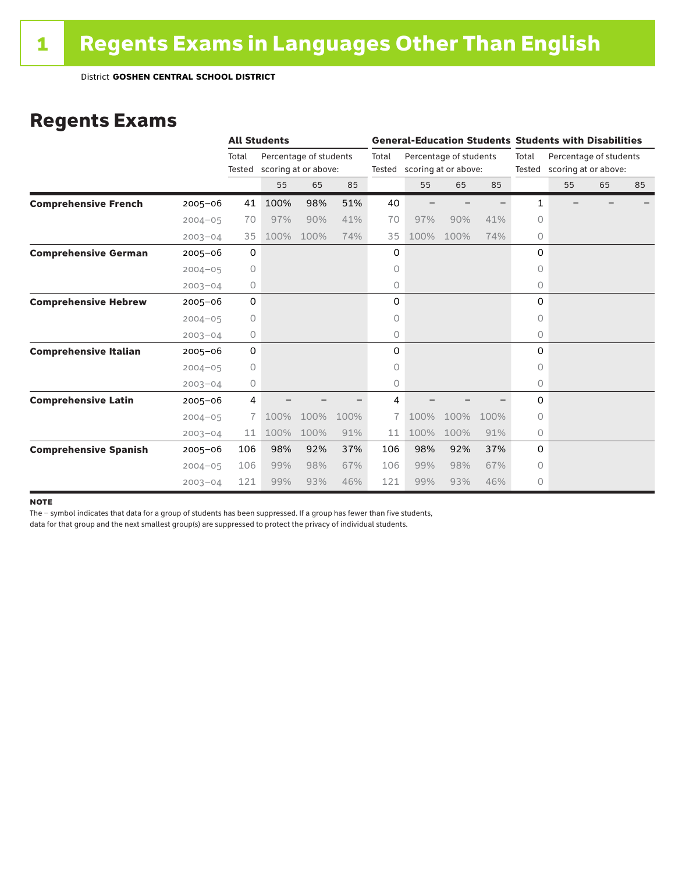#### Regents Exams

|                              |             |                 | <b>All Students</b>  |                        |      |                 | <b>General-Education Students Students with Disabilities</b> |                        |      |         |                                                       |    |    |  |
|------------------------------|-------------|-----------------|----------------------|------------------------|------|-----------------|--------------------------------------------------------------|------------------------|------|---------|-------------------------------------------------------|----|----|--|
|                              |             | Total<br>Tested | scoring at or above: | Percentage of students |      | Total<br>Tested | scoring at or above:                                         | Percentage of students |      | Total   | Percentage of students<br>Tested scoring at or above: |    |    |  |
|                              |             |                 | 55                   | 65                     | 85   |                 | 55                                                           | 65                     | 85   |         | 55                                                    | 65 | 85 |  |
| <b>Comprehensive French</b>  | $2005 - 06$ | 41              | 100%                 | 98%                    | 51%  | 40              |                                                              |                        |      | 1       |                                                       |    |    |  |
|                              | $2004 - 05$ | 70              | 97%                  | 90%                    | 41%  | 70              | 97%                                                          | 90%                    | 41%  | $\circ$ |                                                       |    |    |  |
|                              | $2003 - 04$ | 35              | 100%                 | 100%                   | 74%  | 35              | 100%                                                         | 100%                   | 74%  | 0       |                                                       |    |    |  |
| <b>Comprehensive German</b>  | $2005 - 06$ | 0               |                      |                        |      | 0               |                                                              |                        |      | 0       |                                                       |    |    |  |
|                              | $2004 - 05$ | 0               |                      |                        |      | 0               |                                                              |                        |      | 0       |                                                       |    |    |  |
|                              | $2003 - 04$ | 0               |                      |                        |      | 0               |                                                              |                        |      | 0       |                                                       |    |    |  |
| <b>Comprehensive Hebrew</b>  | $2005 - 06$ | 0               |                      |                        |      | 0               |                                                              |                        |      | 0       |                                                       |    |    |  |
|                              | $2004 - 05$ | 0               |                      |                        |      | 0               |                                                              |                        |      | 0       |                                                       |    |    |  |
|                              | $2003 - 04$ | $\circ$         |                      |                        |      | 0               |                                                              |                        |      | 0       |                                                       |    |    |  |
| <b>Comprehensive Italian</b> | $2005 - 06$ | 0               |                      |                        |      | 0               |                                                              |                        |      | 0       |                                                       |    |    |  |
|                              | $2004 - 05$ | 0               |                      |                        |      | 0               |                                                              |                        |      | 0       |                                                       |    |    |  |
|                              | $2003 - 04$ | 0               |                      |                        |      | 0               |                                                              |                        |      | 0       |                                                       |    |    |  |
| <b>Comprehensive Latin</b>   | $2005 - 06$ | 4               |                      |                        |      | 4               |                                                              |                        |      | 0       |                                                       |    |    |  |
|                              | $2004 - 05$ | 7.              | 100%                 | 100%                   | 100% |                 | 100%                                                         | 100%                   | 100% | 0       |                                                       |    |    |  |
|                              | $2003 - 04$ | 11              | 100%                 | 100%                   | 91%  | 11              | 100%                                                         | 100%                   | 91%  | 0       |                                                       |    |    |  |
| <b>Comprehensive Spanish</b> | $2005 - 06$ | 106             | 98%                  | 92%                    | 37%  | 106             | 98%                                                          | 92%                    | 37%  | 0       |                                                       |    |    |  |
|                              | $2004 - 05$ | 106             | 99%                  | 98%                    | 67%  | 106             | 99%                                                          | 98%                    | 67%  | 0       |                                                       |    |    |  |
|                              | $2003 - 04$ | 121             | 99%                  | 93%                    | 46%  | 121             | 99%                                                          | 93%                    | 46%  | 0       |                                                       |    |    |  |

#### **NOTE**

The – symbol indicates that data for a group of students has been suppressed. If a group has fewer than five students,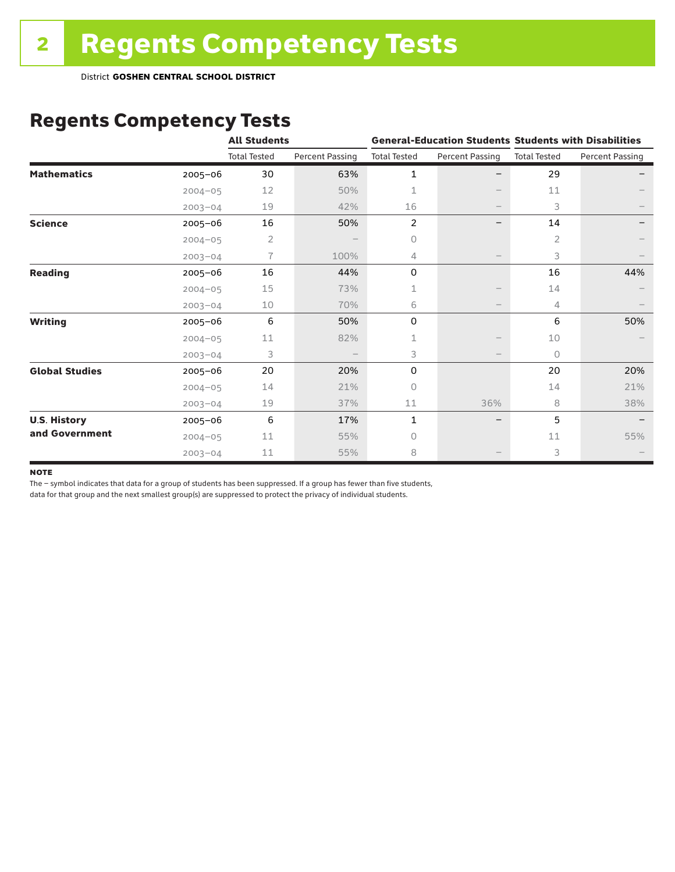District **GOSHEN CENTRAL SCHOOL DISTRICT**

# Regents Competency Tests

|                       |             | <b>All Students</b> |                        |                     |                        | <b>General-Education Students Students with Disabilities</b> |                        |  |
|-----------------------|-------------|---------------------|------------------------|---------------------|------------------------|--------------------------------------------------------------|------------------------|--|
|                       |             | <b>Total Tested</b> | <b>Percent Passing</b> | <b>Total Tested</b> | <b>Percent Passing</b> | <b>Total Tested</b>                                          | <b>Percent Passing</b> |  |
| <b>Mathematics</b>    | $2005 - 06$ | 30                  | 63%                    | 1                   |                        | 29                                                           |                        |  |
|                       | $2004 - 05$ | 12                  | 50%                    | 1                   |                        | 11                                                           |                        |  |
|                       | $2003 - 04$ | 19                  | 42%                    | 16                  | $\qquad \qquad -$      | 3                                                            |                        |  |
| <b>Science</b>        | 2005-06     | 16                  | 50%                    | 2                   |                        | 14                                                           |                        |  |
|                       | $2004 - 05$ | 2                   |                        | 0                   |                        | 2                                                            |                        |  |
|                       | $2003 - 04$ | 7                   | 100%                   | 4                   |                        | 3                                                            |                        |  |
| <b>Reading</b>        | 2005-06     | 16                  | 44%                    | 0                   |                        | 16                                                           | 44%                    |  |
|                       | $2004 - 05$ | 15                  | 73%                    | 1                   |                        | 14                                                           |                        |  |
|                       | $2003 - 04$ | 10                  | 70%                    | 6                   |                        | 4                                                            |                        |  |
| <b>Writing</b>        | 2005-06     | 6                   | 50%                    | 0                   |                        | 6                                                            | 50%                    |  |
|                       | $2004 - 05$ | 11                  | 82%                    | 1                   |                        | 10                                                           |                        |  |
|                       | $2003 - 04$ | 3                   |                        | 3                   | $\qquad \qquad -$      | $\circ$                                                      |                        |  |
| <b>Global Studies</b> | 2005-06     | 20                  | 20%                    | 0                   |                        | 20                                                           | 20%                    |  |
|                       | $2004 - 05$ | 14                  | 21%                    | 0                   |                        | 14                                                           | 21%                    |  |
|                       | $2003 - 04$ | 19                  | 37%                    | 11                  | 36%                    | 8                                                            | 38%                    |  |
| <b>U.S. History</b>   | 2005-06     | 6                   | 17%                    | 1                   |                        | 5                                                            |                        |  |
| and Government        | $2004 - 05$ | 11                  | 55%                    | $\Omega$            |                        | 11                                                           | 55%                    |  |
|                       | $2003 - 04$ | 11                  | 55%                    | 8                   |                        | 3                                                            |                        |  |

#### note

The – symbol indicates that data for a group of students has been suppressed. If a group has fewer than five students,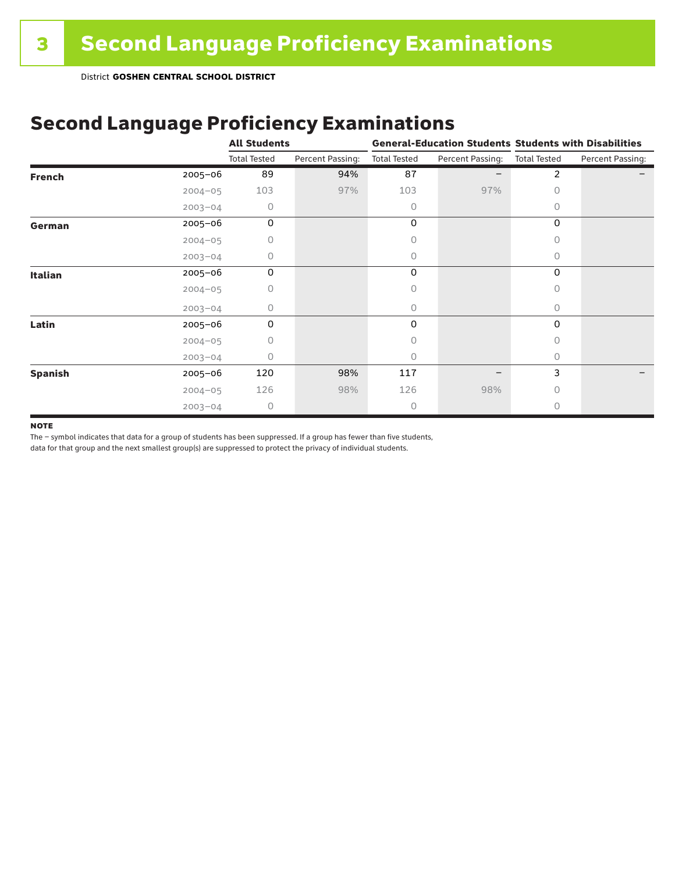# Second Language Proficiency Examinations

|                |             | <b>All Students</b> |                  |                     |                  | <b>General-Education Students Students with Disabilities</b> |                  |  |
|----------------|-------------|---------------------|------------------|---------------------|------------------|--------------------------------------------------------------|------------------|--|
|                |             | <b>Total Tested</b> | Percent Passing: | <b>Total Tested</b> | Percent Passing: | <b>Total Tested</b>                                          | Percent Passing: |  |
| <b>French</b>  | $2005 - 06$ | 89                  | 94%              | 87                  |                  | 2                                                            |                  |  |
|                | $2004 - 05$ | 103                 | 97%              | 103                 | 97%              | $\circ$                                                      |                  |  |
|                | $2003 - 04$ | 0                   |                  | 0                   |                  | $\Omega$                                                     |                  |  |
| German         | 2005-06     | 0                   |                  | 0                   |                  | 0                                                            |                  |  |
|                | $2004 - 05$ | 0                   |                  | Ω                   |                  | 0                                                            |                  |  |
|                | $2003 - 04$ | 0                   |                  | 0                   |                  | $\circ$                                                      |                  |  |
| <b>Italian</b> | 2005-06     | 0                   |                  | 0                   |                  | 0                                                            |                  |  |
|                | $2004 - 05$ | U                   |                  | Ω                   |                  | $\Omega$                                                     |                  |  |
|                | $2003 - 04$ | 0                   |                  | 0                   |                  | $\circ$                                                      |                  |  |
| Latin          | $2005 - 06$ | 0                   |                  | 0                   |                  | $\Omega$                                                     |                  |  |
|                | $2004 - 05$ | O                   |                  |                     |                  | $\bigcap$                                                    |                  |  |
|                | $2003 - 04$ | 0                   |                  | 0                   |                  | $\Omega$                                                     |                  |  |
| <b>Spanish</b> | 2005-06     | 120                 | 98%              | 117                 | -                | 3                                                            |                  |  |
|                | $2004 - 05$ | 126                 | 98%              | 126                 | 98%              | $\Omega$                                                     |                  |  |
|                | $2003 - 04$ | 0                   |                  | 0                   |                  | $\circ$                                                      |                  |  |

#### **NOTE**

The – symbol indicates that data for a group of students has been suppressed. If a group has fewer than five students,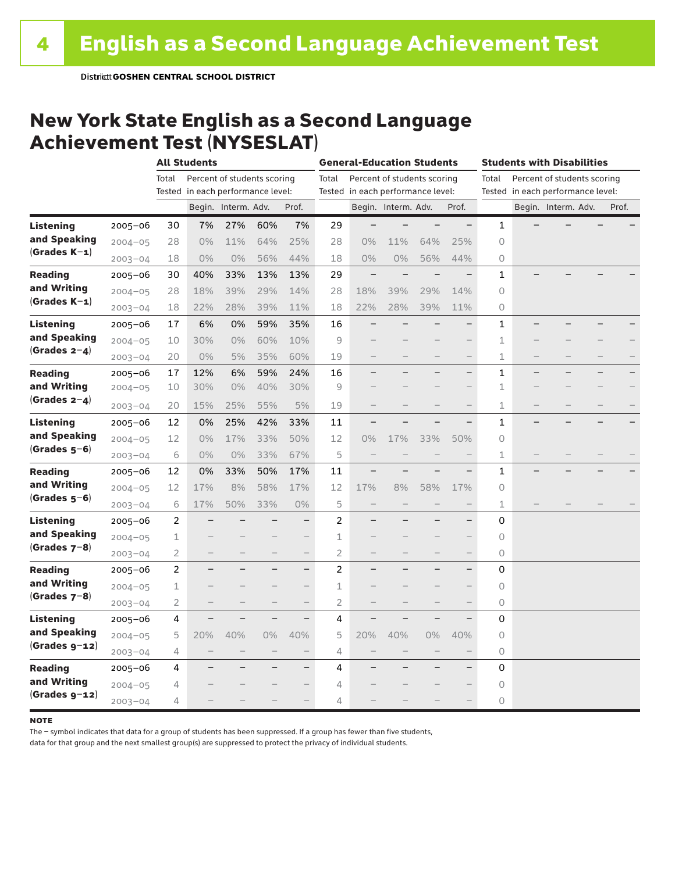### New York State English as a Second Language Achievement Test (NYSESLAT)

|                  |             | <b>All Students</b> |                                   |                             |       |                          | <b>General-Education Students</b>    |                                   |                     |       | <b>Students with Disabilities</b> |                                      |                          |                                   |  |       |
|------------------|-------------|---------------------|-----------------------------------|-----------------------------|-------|--------------------------|--------------------------------------|-----------------------------------|---------------------|-------|-----------------------------------|--------------------------------------|--------------------------|-----------------------------------|--|-------|
|                  |             | Total               |                                   | Percent of students scoring |       |                          | Total<br>Percent of students scoring |                                   |                     |       |                                   | Percent of students scoring<br>Total |                          |                                   |  |       |
|                  |             |                     | Tested in each performance level: |                             |       |                          |                                      | Tested in each performance level: |                     |       |                                   |                                      |                          | Tested in each performance level: |  |       |
|                  |             |                     |                                   | Begin. Interm. Adv.         |       | Prof.                    |                                      |                                   | Begin. Interm. Adv. |       | Prof.                             |                                      |                          | Begin. Interm. Adv.               |  | Prof. |
| <b>Listening</b> | 2005-06     | 30                  | 7%                                | 27%                         | 60%   | 7%                       | 29                                   |                                   |                     |       | $\overline{\phantom{0}}$          | 1                                    |                          |                                   |  |       |
| and Speaking     | $2004 - 05$ | 28                  | $0\%$                             | 11%                         | 64%   | 25%                      | 28                                   | 0%                                | 11%                 | 64%   | 25%                               | $\circ$                              |                          |                                   |  |       |
| $(Grades K-1)$   | $2003 - 04$ | 18                  | 0%                                | 0%                          | 56%   | 44%                      | 18                                   | 0%                                | 0%                  | 56%   | 44%                               | 0                                    |                          |                                   |  |       |
| <b>Reading</b>   | $2005 - 06$ | 30                  | 40%                               | 33%                         | 13%   | 13%                      | 29                                   |                                   |                     |       |                                   | 1                                    |                          |                                   |  |       |
| and Writing      | $2004 - 05$ | 28                  | 18%                               | 39%                         | 29%   | 14%                      | 28                                   | 18%                               | 39%                 | 29%   | 14%                               | 0                                    |                          |                                   |  |       |
| $(Grades K-1)$   | $2003 - 04$ | 18                  | 22%                               | 28%                         | 39%   | 11%                      | 18                                   | 22%                               | 28%                 | 39%   | 11%                               | 0                                    |                          |                                   |  |       |
| Listening        | $2005 - 06$ | 17                  | 6%                                | 0%                          | 59%   | 35%                      | 16                                   |                                   |                     |       |                                   | 1                                    |                          |                                   |  |       |
| and Speaking     | $2004 - 05$ | 10                  | 30%                               | 0%                          | 60%   | 10%                      | 9                                    |                                   |                     |       |                                   | 1                                    |                          |                                   |  |       |
| $(Grades 2-4)$   | $2003 - 04$ | 20                  | $0\%$                             | 5%                          | 35%   | 60%                      | 19                                   |                                   |                     |       | $\overline{\phantom{0}}$          | 1                                    | $\overline{\phantom{0}}$ |                                   |  |       |
| <b>Reading</b>   | $2005 - 06$ | 17                  | 12%                               | 6%                          | 59%   | 24%                      | 16                                   |                                   |                     |       | $\equiv$                          | 1                                    |                          |                                   |  |       |
| and Writing      | $2004 - 05$ | 10                  | 30%                               | 0%                          | 40%   | 30%                      | 9                                    |                                   |                     |       |                                   | 1                                    |                          |                                   |  |       |
| (Grades $2-4$ )  | $2003 - 04$ | 20                  | 15%                               | 25%                         | 55%   | 5%                       | 19                                   |                                   |                     |       |                                   | 1                                    |                          |                                   |  |       |
| Listening        | $2005 - 06$ | 12                  | 0%                                | 25%                         | 42%   | 33%                      | 11                                   |                                   |                     |       |                                   | 1                                    |                          |                                   |  |       |
| and Speaking     | $2004 - 05$ | 12                  | 0%                                | 17%                         | 33%   | 50%                      | 12                                   | 0%                                | 17%                 | 33%   | 50%                               | 0                                    |                          |                                   |  |       |
| $(Grades 5-6)$   | $2003 - 04$ | 6                   | $0\%$                             | 0%                          | 33%   | 67%                      | 5                                    |                                   |                     |       |                                   | 1                                    |                          |                                   |  |       |
| <b>Reading</b>   | $2005 - 06$ | 12                  | 0%                                | 33%                         | 50%   | 17%                      | 11                                   |                                   |                     |       |                                   | 1                                    |                          |                                   |  |       |
| and Writing      | $2004 - 05$ | 12                  | 17%                               | 8%                          | 58%   | 17%                      | 12                                   | 17%                               | 8%                  | 58%   | 17%                               | 0                                    |                          |                                   |  |       |
| $(Grades 5-6)$   | $2003 - 04$ | 6                   | 17%                               | 50%                         | 33%   | $0\%$                    | 5                                    |                                   |                     |       | $\overline{\phantom{0}}$          | 1                                    |                          |                                   |  |       |
| Listening        | 2005-06     | 2                   |                                   |                             |       | ÷,                       | $\overline{2}$                       |                                   |                     |       |                                   | 0                                    |                          |                                   |  |       |
| and Speaking     | $2004 - 05$ | 1                   |                                   |                             |       |                          | 1                                    |                                   |                     |       |                                   | 0                                    |                          |                                   |  |       |
| $(Grades 7-8)$   | $2003 - 04$ | 2                   |                                   |                             |       | $\qquad \qquad -$        | 2                                    |                                   |                     |       | $\overline{\phantom{0}}$          | 0                                    |                          |                                   |  |       |
| <b>Reading</b>   | $2005 - 06$ | 2                   |                                   |                             |       | $\overline{\phantom{0}}$ | 2                                    |                                   |                     |       | $\overline{\phantom{0}}$          | 0                                    |                          |                                   |  |       |
| and Writing      | $2004 - 05$ | 1                   |                                   |                             |       | -                        | 1                                    |                                   |                     |       |                                   | 0                                    |                          |                                   |  |       |
| (Grades $7-8$ )  | $2003 - 04$ | 2                   |                                   |                             |       |                          | $\overline{2}$                       |                                   |                     |       | $\overline{\phantom{0}}$          | 0                                    |                          |                                   |  |       |
| Listening        | $2005 - 06$ | 4                   |                                   |                             |       | $\overline{\phantom{0}}$ | 4                                    |                                   |                     |       |                                   | 0                                    |                          |                                   |  |       |
| and Speaking     | $2004 - 05$ | 5                   | 20%                               | 40%                         | $0\%$ | 40%                      | 5                                    | 20%                               | 40%                 | $0\%$ | 40%                               | 0                                    |                          |                                   |  |       |
| $(Grades g-12)$  | $2003 - 04$ | 4                   |                                   |                             |       | $\qquad \qquad -$        | 4                                    |                                   |                     |       | $\overline{\phantom{0}}$          | 0                                    |                          |                                   |  |       |
| Reading          | 2005-06     | 4                   |                                   |                             |       | -                        | 4                                    |                                   |                     |       |                                   | 0                                    |                          |                                   |  |       |
| and Writing      | $2004 - 05$ | 4                   |                                   |                             |       |                          | 4                                    |                                   |                     |       |                                   | 0                                    |                          |                                   |  |       |
| $(Grades g-12)$  | $2003 - 04$ | 4                   |                                   |                             |       |                          | 4                                    |                                   |                     |       |                                   | 0                                    |                          |                                   |  |       |

#### **NOTE**

The – symbol indicates that data for a group of students has been suppressed. If a group has fewer than five students,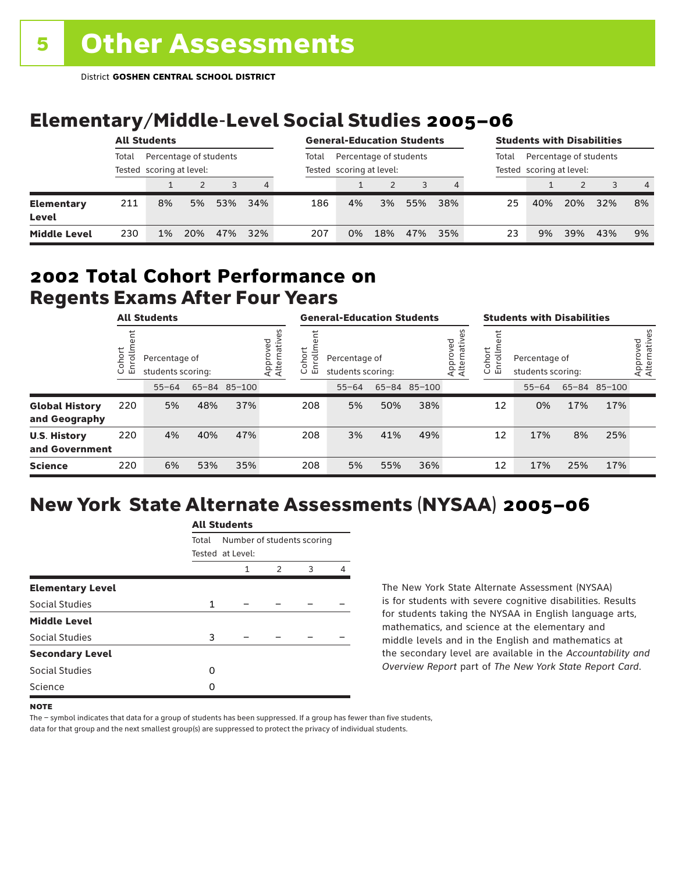# Elementary/Middle-Level Social Studies 2005–06

|                            | <b>All Students</b>                                         |    |     |       |                                                    | <b>General-Education Students</b> |    |     |       | <b>Students with Disabilities</b>                  |    |     |               |     |                |
|----------------------------|-------------------------------------------------------------|----|-----|-------|----------------------------------------------------|-----------------------------------|----|-----|-------|----------------------------------------------------|----|-----|---------------|-----|----------------|
|                            | Percentage of students<br>Total<br>Tested scoring at level: |    |     | Total | Percentage of students<br>Tested scoring at level: |                                   |    |     | Total | Percentage of students<br>Tested scoring at level: |    |     |               |     |                |
|                            |                                                             |    |     |       | 4                                                  |                                   |    |     |       | 4                                                  |    |     | $\mathcal{P}$ |     | $\overline{4}$ |
| <b>Elementary</b><br>Level | 211                                                         | 8% | 5%  | 53%   | 34%                                                | 186                               | 4% | 3%  | 55%   | 38%                                                | 25 | 40% | 20%           | 32% | 8%             |
| <b>Middle Level</b>        | 230                                                         | 1% | 20% | 47%   | 32%                                                | 207                               | 0% | 18% | 47%   | 35%                                                | 23 | 9%  | 39%           | 43% | 9%             |

#### Regents Exams After Four Years 2002 **Total Cohort Performance on**

| <b>All Students</b>                    |                        |                                    |     | <b>General-Education Students</b> |                          |                           |                                    |     | <b>Students with Disabilities</b> |                         |                       |                                    |     |              |                          |
|----------------------------------------|------------------------|------------------------------------|-----|-----------------------------------|--------------------------|---------------------------|------------------------------------|-----|-----------------------------------|-------------------------|-----------------------|------------------------------------|-----|--------------|--------------------------|
|                                        | ohort<br>$\circ$<br>ごこ | Percentage of<br>students scoring: |     |                                   | Approved<br>Alternatives | ohort<br>5<br>띧<br>$\cup$ | Percentage of<br>students scoring: |     |                                   | Approved<br>Alternative | Cohort<br>트<br>5<br>훕 | Percentage of<br>students scoring: |     |              | Approved<br>Alternatives |
|                                        |                        | $55 - 64$                          |     | 65-84 85-100                      |                          |                           | $55 - 64$                          |     | 65-84 85-100                      |                         |                       | $55 - 64$                          |     | 65-84 85-100 |                          |
| <b>Global History</b><br>and Geography | 220                    | 5%                                 | 48% | 37%                               |                          | 208                       | 5%                                 | 50% | 38%                               |                         | 12                    | 0%                                 | 17% | 17%          |                          |
| <b>U.S. History</b><br>and Government  | 220                    | 4%                                 | 40% | 47%                               |                          | 208                       | 3%                                 | 41% | 49%                               |                         | 12                    | 17%                                | 8%  | 25%          |                          |
| <b>Science</b>                         | 220                    | 6%                                 | 53% | 35%                               |                          | 208                       | 5%                                 | 55% | 36%                               |                         | 12                    | 17%                                | 25% | 17%          |                          |

# New York State Alternate Assessments (NYSAA) 2005–06

|                         | AIL JLUUCIILS |                                                |   |   |   |  |  |  |  |
|-------------------------|---------------|------------------------------------------------|---|---|---|--|--|--|--|
|                         | Total         | Number of students scoring<br>Tested at Level: |   |   |   |  |  |  |  |
|                         |               | $\mathbf{1}$                                   | 2 | 3 | 4 |  |  |  |  |
| <b>Elementary Level</b> |               |                                                |   |   |   |  |  |  |  |
| Social Studies          | 1             |                                                |   |   |   |  |  |  |  |
| <b>Middle Level</b>     |               |                                                |   |   |   |  |  |  |  |
| Social Studies          | 3             |                                                |   |   |   |  |  |  |  |
| <b>Secondary Level</b>  |               |                                                |   |   |   |  |  |  |  |
| Social Studies          | O             |                                                |   |   |   |  |  |  |  |
| Science                 | Ω             |                                                |   |   |   |  |  |  |  |
|                         |               |                                                |   |   |   |  |  |  |  |

All Canada

The New York State Alternate Assessment (NYSAA) is for students with severe cognitive disabilities. Results for students taking the NYSAA in English language arts, mathematics, and science at the elementary and middle levels and in the English and mathematics at the secondary level are available in the *Accountability and Overview Report* part of *The New York State Report Card*.

The – symbol indicates that data for a group of students has been suppressed. If a group has fewer than five students, data for that group and the next smallest group(s) are suppressed to protect the privacy of individual students.

**NOTE**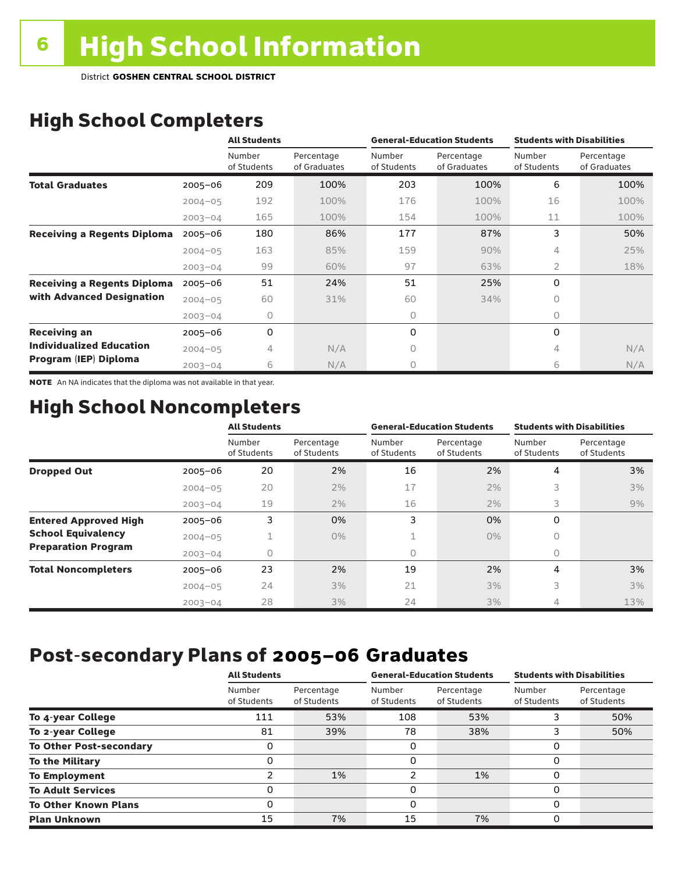District **GOSHEN CENTRAL SCHOOL DISTRICT**

# High School Completers

|                                    |             | <b>All Students</b>   |                            |                       | <b>General-Education Students</b> | <b>Students with Disabilities</b> |                            |  |
|------------------------------------|-------------|-----------------------|----------------------------|-----------------------|-----------------------------------|-----------------------------------|----------------------------|--|
|                                    |             | Number<br>of Students | Percentage<br>of Graduates | Number<br>of Students | Percentage<br>of Graduates        | Number<br>of Students             | Percentage<br>of Graduates |  |
| <b>Total Graduates</b>             | $2005 - 06$ | 209                   | 100%                       | 203                   | 100%                              | 6                                 | 100%                       |  |
|                                    | $2004 - 05$ | 192                   | 100%                       | 176                   | 100%                              | 16                                | 100%                       |  |
|                                    | $2003 - 04$ | 165                   | 100%                       | 154                   | 100%                              | 11                                | 100%                       |  |
| <b>Receiving a Regents Diploma</b> | $2005 - 06$ | 180                   | 86%                        | 177                   | 87%                               | 3                                 | 50%                        |  |
|                                    | $2004 - 05$ | 163                   | 85%                        | 159                   | 90%                               | 4                                 | 25%                        |  |
|                                    | $2003 - 04$ | 99                    | 60%                        | 97                    | 63%                               | 2                                 | 18%                        |  |
| <b>Receiving a Regents Diploma</b> | $2005 - 06$ | 51                    | 24%                        | 51                    | 25%                               | 0                                 |                            |  |
| with Advanced Designation          | $2004 - 05$ | 60                    | 31%                        | 60                    | 34%                               | 0                                 |                            |  |
|                                    | $2003 - 04$ | 0                     |                            | 0                     |                                   | 0                                 |                            |  |
| <b>Receiving an</b>                | $2005 - 06$ | 0                     |                            | 0                     |                                   | $\Omega$                          |                            |  |
| <b>Individualized Education</b>    | $2004 - 05$ | 4                     | N/A                        | 0                     |                                   | 4                                 | N/A                        |  |
| Program (IEP) Diploma              | $2003 - 04$ | 6                     | N/A                        | 0                     |                                   | 6                                 | N/A                        |  |

NOTE An NA indicates that the diploma was not available in that year.

## High School Noncompleters

|                              |             | <b>All Students</b>   |                           |                       | <b>General-Education Students</b> | <b>Students with Disabilities</b> |                           |  |  |
|------------------------------|-------------|-----------------------|---------------------------|-----------------------|-----------------------------------|-----------------------------------|---------------------------|--|--|
|                              |             | Number<br>of Students | Percentage<br>of Students | Number<br>of Students | Percentage<br>of Students         | Number<br>of Students             | Percentage<br>of Students |  |  |
| <b>Dropped Out</b>           | $2005 - 06$ | 20                    | 2%                        | 16                    | 2%                                | 4                                 | 3%                        |  |  |
|                              | $2004 - 05$ | 20                    | 2%                        | 17                    | 2%                                | 3                                 | 3%                        |  |  |
|                              | $2003 - 04$ | 19                    | 2%                        | 16                    | 2%                                | 3                                 | 9%                        |  |  |
| <b>Entered Approved High</b> | $2005 - 06$ | 3                     | 0%                        | 3                     | 0%                                | 0                                 |                           |  |  |
| <b>School Equivalency</b>    | $2004 - 05$ |                       | $0\%$                     |                       | $0\%$                             | 0                                 |                           |  |  |
| <b>Preparation Program</b>   | $2003 - 04$ | 0                     |                           | 0                     |                                   | 0                                 |                           |  |  |
| <b>Total Noncompleters</b>   | $2005 - 06$ | 23                    | 2%                        | 19                    | 2%                                | 4                                 | 3%                        |  |  |
|                              | $2004 - 05$ | 24                    | 3%                        | 21                    | 3%                                | 3                                 | 3%                        |  |  |
|                              | $2003 - 04$ | 28                    | 3%                        | 24                    | 3%                                | 4                                 | 13%                       |  |  |

# Post-secondary Plans of 2005–06 **Graduates**

|                                | <b>All Students</b>   |                           |                       | <b>General-Education Students</b> | <b>Students with Disabilities</b> |                           |  |
|--------------------------------|-----------------------|---------------------------|-----------------------|-----------------------------------|-----------------------------------|---------------------------|--|
|                                | Number<br>of Students | Percentage<br>of Students | Number<br>of Students | Percentage<br>of Students         | Number<br>of Students             | Percentage<br>of Students |  |
| To 4-year College              | 111                   | 53%                       | 108                   | 53%                               |                                   | 50%                       |  |
| To 2-year College              | 81                    | 39%                       | 78                    | 38%                               |                                   | 50%                       |  |
| <b>To Other Post-secondary</b> |                       |                           | 0                     |                                   | 0                                 |                           |  |
| <b>To the Military</b>         |                       |                           | 0                     |                                   | 0                                 |                           |  |
| <b>To Employment</b>           | າ                     | 1%                        | າ                     | 1%                                | O                                 |                           |  |
| <b>To Adult Services</b>       |                       |                           | 0                     |                                   | 0                                 |                           |  |
| <b>To Other Known Plans</b>    | O                     |                           | 0                     |                                   | 0                                 |                           |  |
| <b>Plan Unknown</b>            | 15                    | 7%                        | 15                    | 7%                                | O                                 |                           |  |